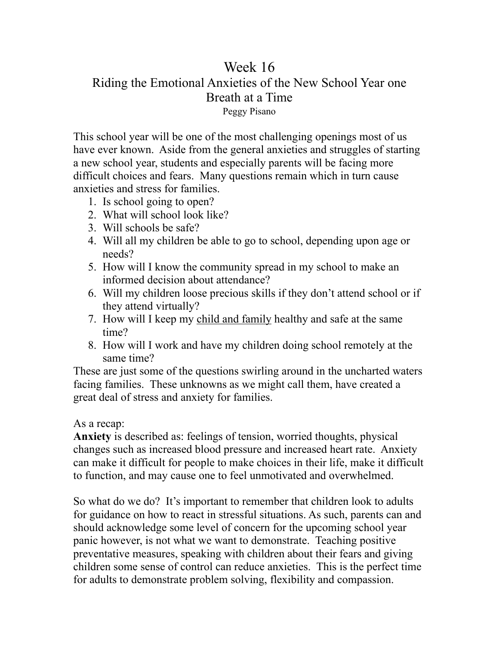## Week 16 Riding the Emotional Anxieties of the New School Year one Breath at a Time Peggy Pisano

This school year will be one of the most challenging openings most of us have ever known. Aside from the general anxieties and struggles of starting a new school year, students and especially parents will be facing more difficult choices and fears. Many questions remain which in turn cause anxieties and stress for families.

- 1. Is school going to open?
- 2. What will school look like?
- 3. Will schools be safe?
- 4. Will all my children be able to go to school, depending upon age or needs?
- 5. How will I know the community spread in my school to make an informed decision about attendance?
- 6. Will my children loose precious skills if they don't attend school or if they attend virtually?
- 7. How will I keep my child and family healthy and safe at the same time?
- 8. How will I work and have my children doing school remotely at the same time?

These are just some of the questions swirling around in the uncharted waters facing families. These unknowns as we might call them, have created a great deal of stress and anxiety for families.

As a recap:

**Anxiety** is described as: feelings of tension, worried thoughts, physical changes such as increased blood pressure and increased heart rate. Anxiety can make it difficult for people to make choices in their life, make it difficult to function, and may cause one to feel unmotivated and overwhelmed.

So what do we do? It's important to remember that children look to adults for guidance on how to react in stressful situations. As such, parents can and should acknowledge some level of concern for the upcoming school year panic however, is not what we want to demonstrate. Teaching positive preventative measures, speaking with children about their fears and giving children some sense of control can reduce anxieties. This is the perfect time for adults to demonstrate problem solving, flexibility and compassion.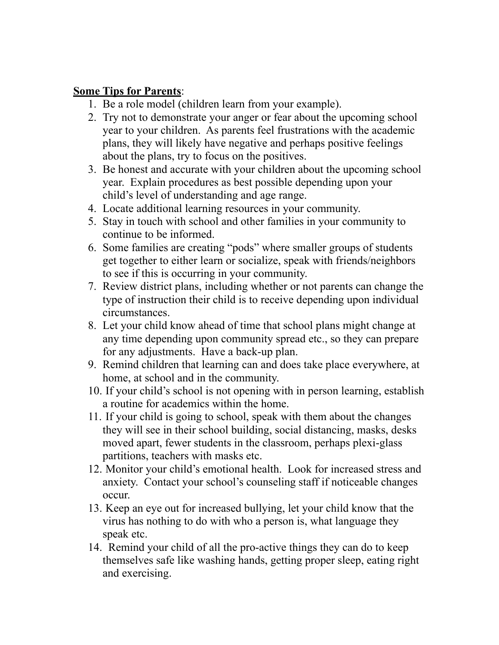## **Some Tips for Parents**:

- 1. Be a role model (children learn from your example).
- 2. Try not to demonstrate your anger or fear about the upcoming school year to your children. As parents feel frustrations with the academic plans, they will likely have negative and perhaps positive feelings about the plans, try to focus on the positives.
- 3. Be honest and accurate with your children about the upcoming school year. Explain procedures as best possible depending upon your child's level of understanding and age range.
- 4. Locate additional learning resources in your community.
- 5. Stay in touch with school and other families in your community to continue to be informed.
- 6. Some families are creating "pods" where smaller groups of students get together to either learn or socialize, speak with friends/neighbors to see if this is occurring in your community.
- 7. Review district plans, including whether or not parents can change the type of instruction their child is to receive depending upon individual circumstances.
- 8. Let your child know ahead of time that school plans might change at any time depending upon community spread etc., so they can prepare for any adjustments. Have a back-up plan.
- 9. Remind children that learning can and does take place everywhere, at home, at school and in the community.
- 10. If your child's school is not opening with in person learning, establish a routine for academics within the home.
- 11. If your child is going to school, speak with them about the changes they will see in their school building, social distancing, masks, desks moved apart, fewer students in the classroom, perhaps plexi-glass partitions, teachers with masks etc.
- 12. Monitor your child's emotional health. Look for increased stress and anxiety. Contact your school's counseling staff if noticeable changes occur.
- 13. Keep an eye out for increased bullying, let your child know that the virus has nothing to do with who a person is, what language they speak etc.
- 14. Remind your child of all the pro-active things they can do to keep themselves safe like washing hands, getting proper sleep, eating right and exercising.